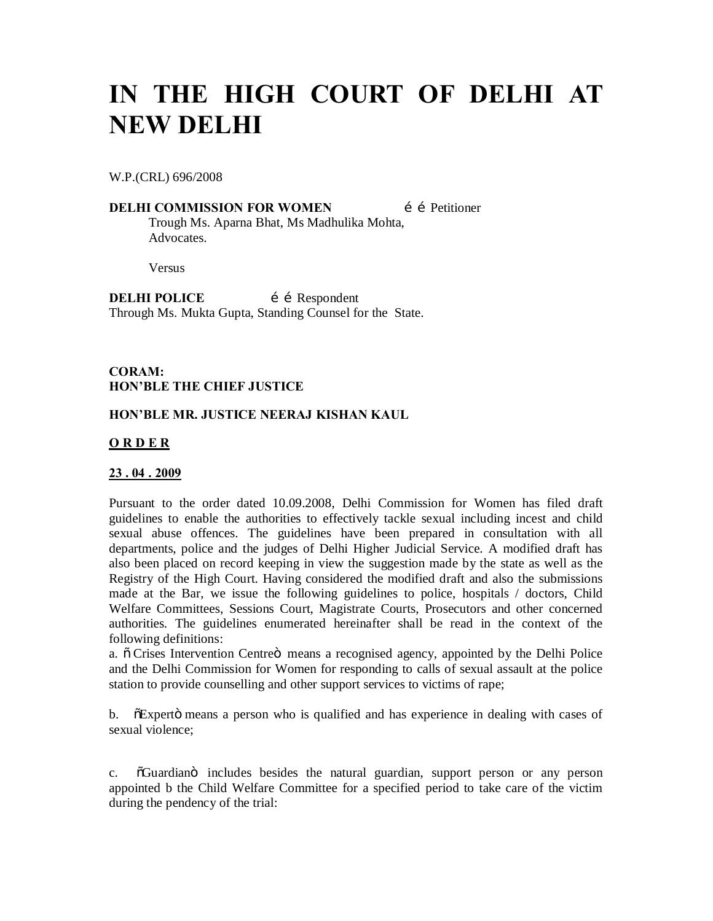# **IN THE HIGH COURT OF DELHI AT NEW DELHI**

W.P.(CRL) 696/2008

**DELHI COMMISSION FOR WOMEN** i i Petitioner Trough Ms. Aparna Bhat, Ms Madhulika Mohta, **Advocates** 

Versus

**DELHI POLICE** i i Respondent Through Ms. Mukta Gupta, Standing Counsel for the State.

#### **CORAM: HON'BLE THE CHIEF JUSTICE**

#### **HON'BLE MR. JUSTICE NEERAJ KISHAN KAUL**

#### **O R D E R**

#### **23 . 04 . 2009**

Pursuant to the order dated 10.09.2008, Delhi Commission for Women has filed draft guidelines to enable the authorities to effectively tackle sexual including incest and child sexual abuse offences. The guidelines have been prepared in consultation with all departments, police and the judges of Delhi Higher Judicial Service. A modified draft has also been placed on record keeping in view the suggestion made by the state as well as the Registry of the High Court. Having considered the modified draft and also the submissions made at the Bar, we issue the following guidelines to police, hospitals / doctors, Child Welfare Committees, Sessions Court, Magistrate Courts, Prosecutors and other concerned authorities. The guidelines enumerated hereinafter shall be read in the context of the following definitions:

a.  $\ddot{\text{o}}$  Crises Intervention Centre $\ddot{\text{o}}$  means a recognised agency, appointed by the Delhi Police and the Delhi Commission for Women for responding to calls of sexual assault at the police station to provide counselling and other support services to victims of rape;

b. "Superto means a person who is qualified and has experience in dealing with cases of sexual violence;

c.  $\delta$ Guardian $\delta$  includes besides the natural guardian, support person or any person appointed b the Child Welfare Committee for a specified period to take care of the victim during the pendency of the trial: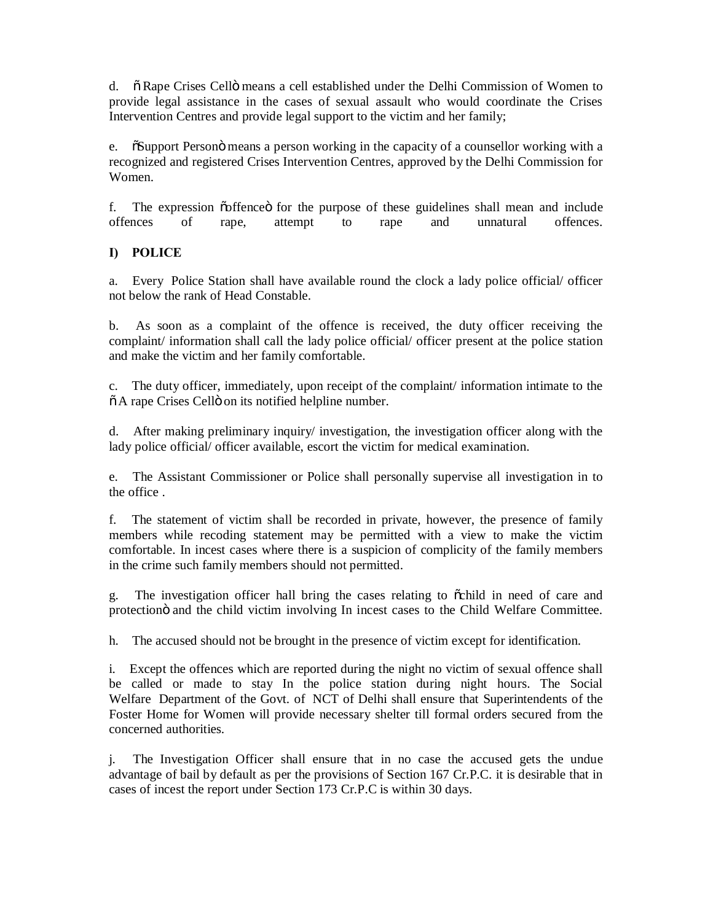d.  $\ddot{\text{o}}$  Rape Crises Cello means a cell established under the Delhi Commission of Women to provide legal assistance in the cases of sexual assault who would coordinate the Crises Intervention Centres and provide legal support to the victim and her family;

e. "Support Person" means a person working in the capacity of a counsellor working with a recognized and registered Crises Intervention Centres, approved by the Delhi Commission for Women.

f. The expression  $\tilde{\text{co}}$  fence  $\tilde{\text{o}}$  for the purpose of these guidelines shall mean and include offences of rape, attempt to rape and unnatural offences.

## **I) POLICE**

a. Every Police Station shall have available round the clock a lady police official/ officer not below the rank of Head Constable.

b. As soon as a complaint of the offence is received, the duty officer receiving the complaint/ information shall call the lady police official/ officer present at the police station and make the victim and her family comfortable.

c. The duty officer, immediately, upon receipt of the complaint/ information intimate to the  $\tilde{\sigma}$  A rape Crises Cellö on its notified helpline number.

d. After making preliminary inquiry/ investigation, the investigation officer along with the lady police official/ officer available, escort the victim for medical examination.

e. The Assistant Commissioner or Police shall personally supervise all investigation in to the office .

f. The statement of victim shall be recorded in private, however, the presence of family members while recoding statement may be permitted with a view to make the victim comfortable. In incest cases where there is a suspicion of complicity of the family members in the crime such family members should not permitted.

g. The investigation officer hall bring the cases relating to  $\tilde{\text{o}}$ child in need of care and protection involving In incest cases to the Child Welfare Committee.

h. The accused should not be brought in the presence of victim except for identification.

i. Except the offences which are reported during the night no victim of sexual offence shall be called or made to stay In the police station during night hours. The Social Welfare Department of the Govt. of NCT of Delhi shall ensure that Superintendents of the Foster Home for Women will provide necessary shelter till formal orders secured from the concerned authorities.

j. The Investigation Officer shall ensure that in no case the accused gets the undue advantage of bail by default as per the provisions of Section 167 Cr.P.C. it is desirable that in cases of incest the report under Section 173 Cr.P.C is within 30 days.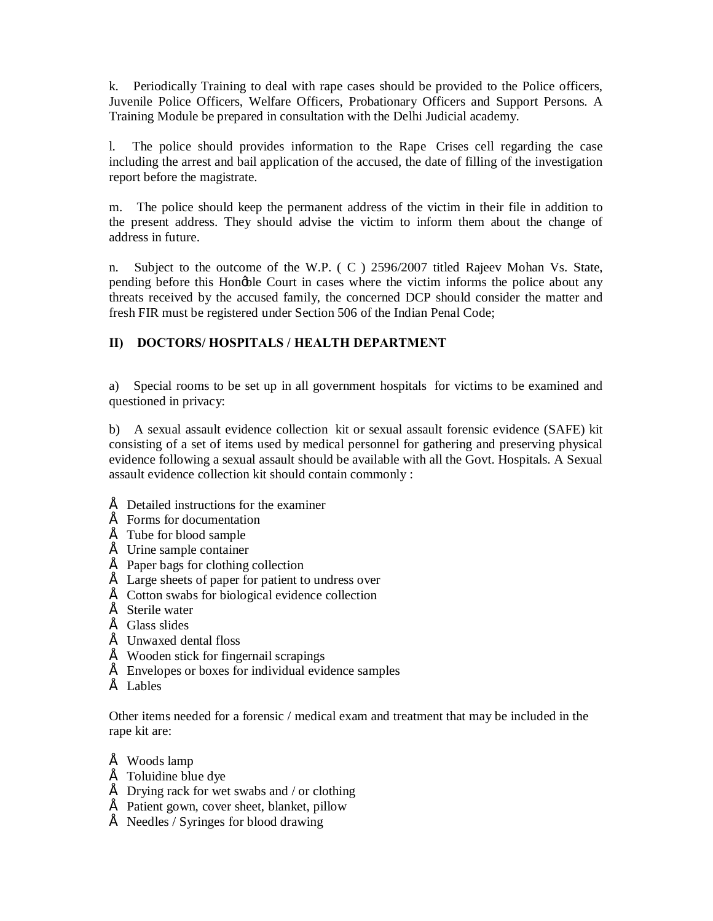k. Periodically Training to deal with rape cases should be provided to the Police officers, Juvenile Police Officers, Welfare Officers, Probationary Officers and Support Persons. A Training Module be prepared in consultation with the Delhi Judicial academy.

l. The police should provides information to the Rape Crises cell regarding the case including the arrest and bail application of the accused, the date of filling of the investigation report before the magistrate.

m. The police should keep the permanent address of the victim in their file in addition to the present address. They should advise the victim to inform them about the change of address in future.

n. Subject to the outcome of the W.P. ( C ) 2596/2007 titled Rajeev Mohan Vs. State, pending before this Hongble Court in cases where the victim informs the police about any threats received by the accused family, the concerned DCP should consider the matter and fresh FIR must be registered under Section 506 of the Indian Penal Code;

## **II) DOCTORS/ HOSPITALS / HEALTH DEPARTMENT**

a) Special rooms to be set up in all government hospitals for victims to be examined and questioned in privacy:

b) A sexual assault evidence collection kit or sexual assault forensic evidence (SAFE) kit consisting of a set of items used by medical personnel for gathering and preserving physical evidence following a sexual assault should be available with all the Govt. Hospitals. A Sexual assault evidence collection kit should contain commonly :

- $\acute{E}$  Detailed instructions for the examiner
- $\acute{E}$  Forms for documentation
- $\acute{E}$  Tube for blood sample
- $É$  Urine sample container
- $\acute{E}$  Paper bags for clothing collection
- $\acute{E}$  Large sheets of paper for patient to undress over
- $\acute{E}$  Cotton swabs for biological evidence collection
- $\acute{E}$  Sterile water
- $\acute{E}$  Glass slides
- $\acute{E}$  Unwaxed dental floss
- $\acute{E}$  Wooden stick for fingernail scrapings
- $\acute{E}$  Envelopes or boxes for individual evidence samples
- $\acute{E}$  Lables

Other items needed for a forensic / medical exam and treatment that may be included in the rape kit are:

- $É$  Woods lamp
- $\acute{E}$  Toluidine blue dve
- $\acute{E}$  Drying rack for wet swabs and / or clothing
- $\acute{E}$  Patient gown, cover sheet, blanket, pillow
- $\acute{E}$  Needles / Syringes for blood drawing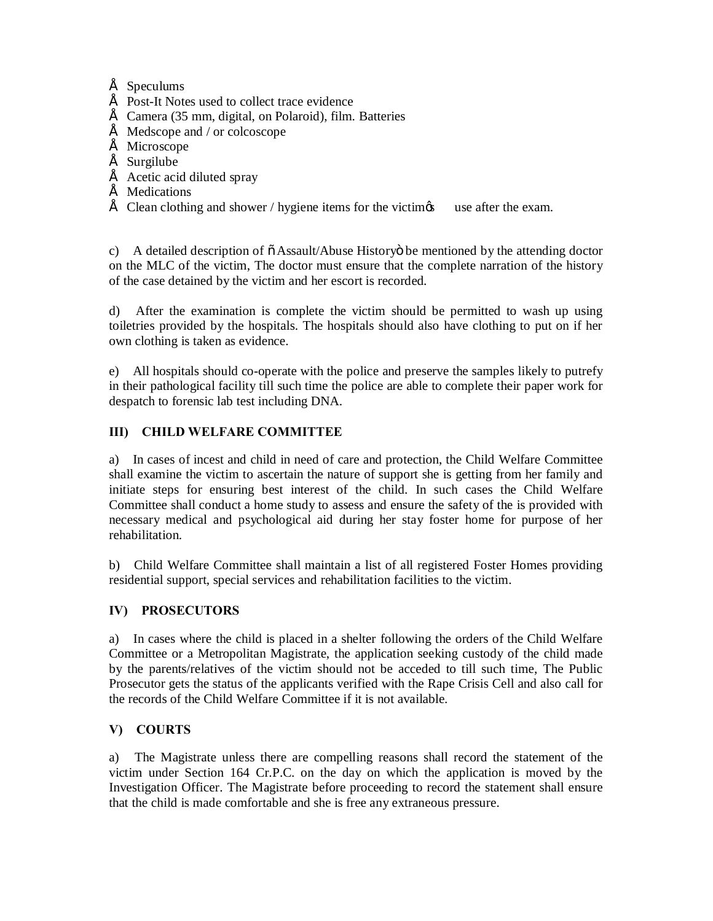## $\acute{E}$  Speculums

- $\acute{E}$  Post-It Notes used to collect trace evidence
- $\acute{E}$  Camera (35 mm, digital, on Polaroid), film. Batteries
- $\acute{E}$  Medscope and / or colcoscope
- É Microscope
- $É$  Surgilube
- $\acute{E}$  Acetic acid diluted spray
- $É$  Medications
- $\acute{E}$  Clean clothing and shower / hygiene items for the victimes use after the exam.

c) A detailed description of  $\ddot{\text{o}}$  Assault/Abuse History $\ddot{\text{o}}$  be mentioned by the attending doctor on the MLC of the victim, The doctor must ensure that the complete narration of the history of the case detained by the victim and her escort is recorded.

d) After the examination is complete the victim should be permitted to wash up using toiletries provided by the hospitals. The hospitals should also have clothing to put on if her own clothing is taken as evidence.

e) All hospitals should co-operate with the police and preserve the samples likely to putrefy in their pathological facility till such time the police are able to complete their paper work for despatch to forensic lab test including DNA.

# **III) CHILD WELFARE COMMITTEE**

a) In cases of incest and child in need of care and protection, the Child Welfare Committee shall examine the victim to ascertain the nature of support she is getting from her family and initiate steps for ensuring best interest of the child. In such cases the Child Welfare Committee shall conduct a home study to assess and ensure the safety of the is provided with necessary medical and psychological aid during her stay foster home for purpose of her rehabilitation.

b) Child Welfare Committee shall maintain a list of all registered Foster Homes providing residential support, special services and rehabilitation facilities to the victim.

## **IV) PROSECUTORS**

a) In cases where the child is placed in a shelter following the orders of the Child Welfare Committee or a Metropolitan Magistrate, the application seeking custody of the child made by the parents/relatives of the victim should not be acceded to till such time, The Public Prosecutor gets the status of the applicants verified with the Rape Crisis Cell and also call for the records of the Child Welfare Committee if it is not available.

# **V) COURTS**

a) The Magistrate unless there are compelling reasons shall record the statement of the victim under Section 164 Cr.P.C. on the day on which the application is moved by the Investigation Officer. The Magistrate before proceeding to record the statement shall ensure that the child is made comfortable and she is free any extraneous pressure.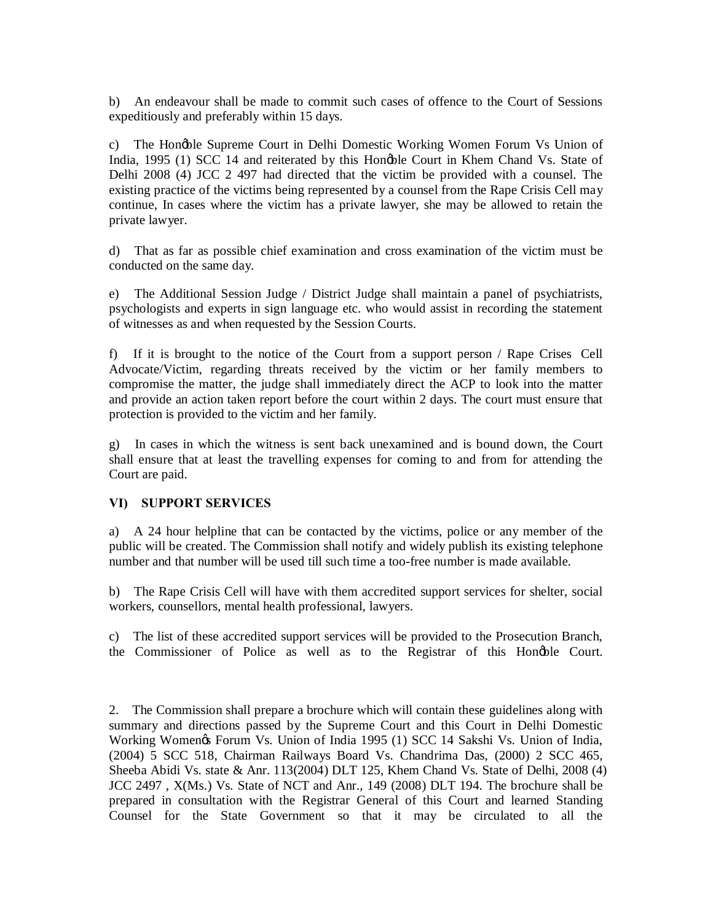b) An endeavour shall be made to commit such cases of offence to the Court of Sessions expeditiously and preferably within 15 days.

c) The Hongble Supreme Court in Delhi Domestic Working Women Forum Vs Union of India, 1995 (1) SCC 14 and reiterated by this Hongble Court in Khem Chand Vs. State of Delhi 2008 (4) JCC 2 497 had directed that the victim be provided with a counsel. The existing practice of the victims being represented by a counsel from the Rape Crisis Cell may continue, In cases where the victim has a private lawyer, she may be allowed to retain the private lawyer.

d) That as far as possible chief examination and cross examination of the victim must be conducted on the same day.

e) The Additional Session Judge / District Judge shall maintain a panel of psychiatrists, psychologists and experts in sign language etc. who would assist in recording the statement of witnesses as and when requested by the Session Courts.

f) If it is brought to the notice of the Court from a support person / Rape Crises Cell Advocate/Victim, regarding threats received by the victim or her family members to compromise the matter, the judge shall immediately direct the ACP to look into the matter and provide an action taken report before the court within 2 days. The court must ensure that protection is provided to the victim and her family.

g) In cases in which the witness is sent back unexamined and is bound down, the Court shall ensure that at least the travelling expenses for coming to and from for attending the Court are paid.

#### **VI) SUPPORT SERVICES**

a) A 24 hour helpline that can be contacted by the victims, police or any member of the public will be created. The Commission shall notify and widely publish its existing telephone number and that number will be used till such time a too-free number is made available.

b) The Rape Crisis Cell will have with them accredited support services for shelter, social workers, counsellors, mental health professional, lawyers.

c) The list of these accredited support services will be provided to the Prosecution Branch, the Commissioner of Police as well as to the Registrar of this Hongble Court.

2. The Commission shall prepare a brochure which will contain these guidelines along with summary and directions passed by the Supreme Court and this Court in Delhi Domestic Working Womengs Forum Vs. Union of India 1995 (1) SCC 14 Sakshi Vs. Union of India, (2004) 5 SCC 518, Chairman Railways Board Vs. Chandrima Das, (2000) 2 SCC 465, Sheeba Abidi Vs. state & Anr. 113(2004) DLT 125, Khem Chand Vs. State of Delhi, 2008 (4) JCC 2497 , X(Ms.) Vs. State of NCT and Anr., 149 (2008) DLT 194. The brochure shall be prepared in consultation with the Registrar General of this Court and learned Standing Counsel for the State Government so that it may be circulated to all the